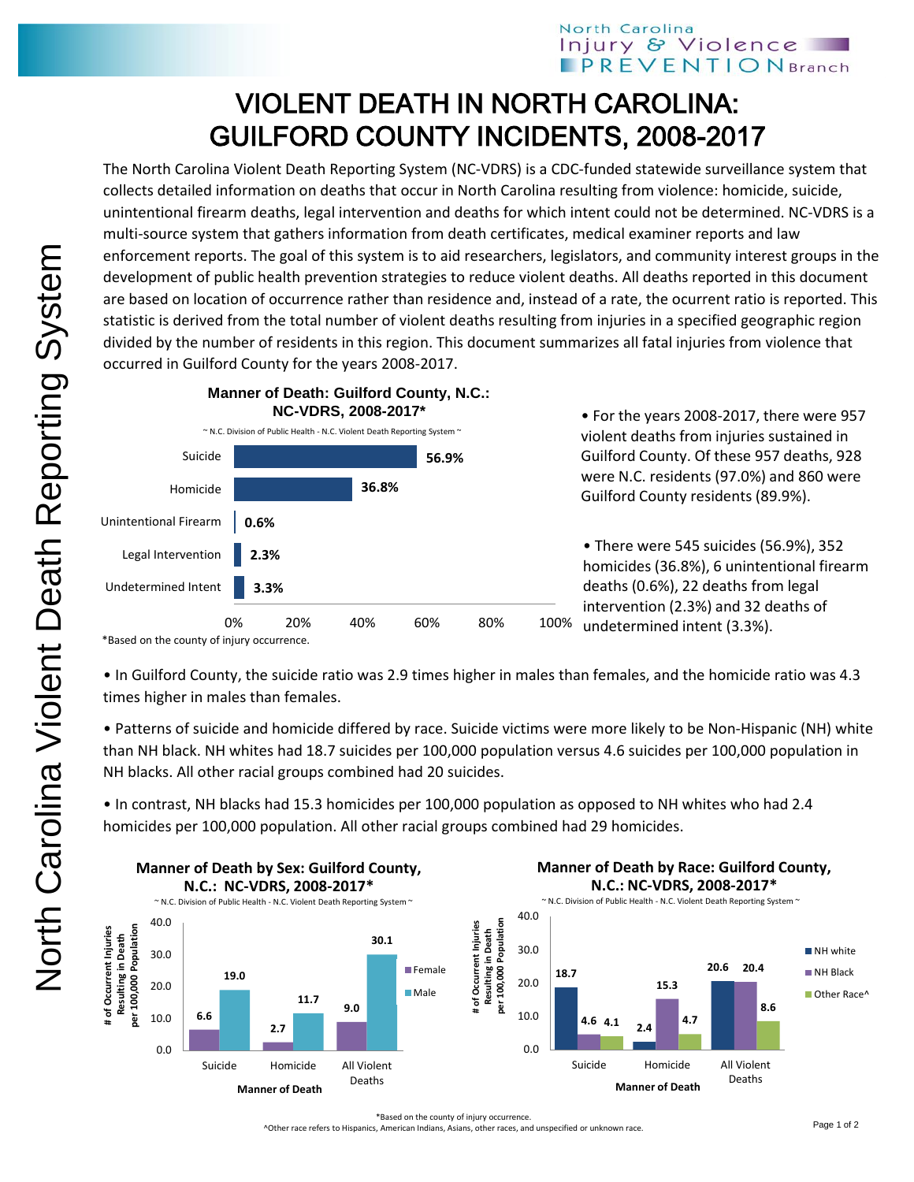## North Carolina Injury & Violence **PREVENTIONBranch**

## VIOLENT DEATH IN NORTH CAROLINA: GUILFORD COUNTY INCIDENTS, 2008-2017

The North Carolina Violent Death Reporting System (NC-VDRS) is a CDC-funded statewide surveillance system that collects detailed information on deaths that occur in North Carolina resulting from violence: homicide, suicide, unintentional firearm deaths, legal intervention and deaths for which intent could not be determined. NC-VDRS is a multi-source system that gathers information from death certificates, medical examiner reports and law enforcement reports. The goal of this system is to aid researchers, legislators, and community interest groups in the development of public health prevention strategies to reduce violent deaths. All deaths reported in this document are based on location of occurrence rather than residence and, instead of a rate, the ocurrent ratio is reported. This statistic is derived from the total number of violent deaths resulting from injuries in a specified geographic region divided by the number of residents in this region. This document summarizes all fatal injuries from violence that occurred in Guilford County for the years 2008-2017.



<sup>\*</sup>Based on the county of injury occurrence.

• In Guilford County, the suicide ratio was 2.9 times higher in males than females, and the homicide ratio was 4.3 times higher in males than females.

• Patterns of suicide and homicide differed by race. Suicide victims were more likely to be Non-Hispanic (NH) white than NH black. NH whites had 18.7 suicides per 100,000 population versus 4.6 suicides per 100,000 population in NH blacks. All other racial groups combined had 20 suicides.

• In contrast, NH blacks had 15.3 homicides per 100,000 population as opposed to NH whites who had 2.4 homicides per 100,000 population. All other racial groups combined had 29 homicides.



^Other race refers to Hispanics, American Indians, Asians, other races, and unspecified or unknown race.